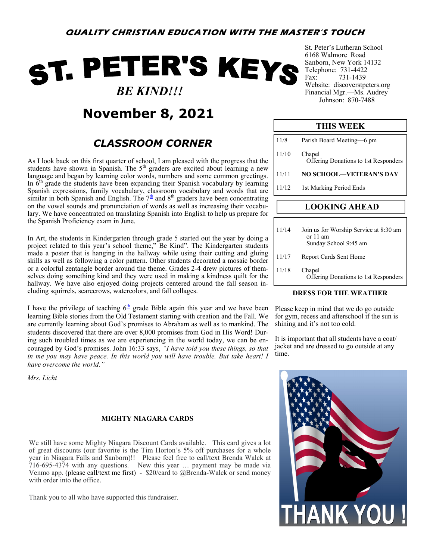# ST. PETER'S KEYS  *BE KIND!!!*



## *CLASSROOM CORNER*

As I look back on this first quarter of school, I am pleased with the progress that the students have shown in Spanish. The  $5<sup>th</sup>$  graders are excited about learning a new language and began by learning color words, numbers and some common greetings. In  $\bar{6}^{th}$  grade the students have been expanding their Spanish vocabulary by learning Spanish expressions, family vocabulary, classroom vocabulary and words that are similar in both Spanish and English. The  $7<sup>th</sup>$  and  $8<sup>th</sup>$  graders have been concentrating on the vowel sounds and pronunciation of words as well as increasing their vocabulary. We have concentrated on translating Spanish into English to help us prepare for the Spanish Proficiency exam in June.

In Art, the students in Kindergarten through grade 5 started out the year by doing a project related to this year's school theme," Be Kind". The Kindergarten students made a poster that is hanging in the hallway while using their cutting and gluing skills as well as following a color pattern. Other students decorated a mosaic border or a colorful zentangle border around the theme. Grades 2-4 drew pictures of themselves doing something kind and they were used in making a kindness quilt for the hallway. We have also enjoyed doing projects centered around the fall season including squirrels, scarecrows, watercolors, and fall collages.

I have the privilege of teaching  $6<sup>th</sup>$  grade Bible again this year and we have been learning Bible stories from the Old Testament starting with creation and the Fall. We are currently learning about God's promises to Abraham as well as to mankind. The students discovered that there are over 8,000 promises from God in His Word! During such troubled times as we are experiencing in the world today, we can be encouraged by God's promises. John 16:33 says, *"I have told you these things, so that in me you may have peace. In this world you will have trouble. But take heart! I have overcome the world."*

*Mrs. Licht*

#### **MIGHTY NIAGARA CARDS**

We still have some Mighty Niagara Discount Cards available. This card gives a lot of great discounts (our favorite is the Tim Horton's 5% off purchases for a whole year in Niagara Falls and Sanborn)!! Please feel free to call/text Brenda Walck at 716-695-4374 with any questions. New this year … payment may be made via Venmo app. (please call/text me first) - \$20/card to @Brenda-Walck or send money with order into the office.

Thank you to all who have supported this fundraiser.

St. Peter's Lutheran School 6168 Walmore Road Sanborn, New York 14132 Telephone: 731-4422 Fax: 731-1439 Website: discoverstpeters.org Financial Mgr.—Ms. Audrey Johnson: 870-7488

#### **THIS WEEK**

| 11/12 | 1st Marking Period Ends                               |
|-------|-------------------------------------------------------|
| 11/11 | <b>NO SCHOOL—VETERAN'S DAY</b>                        |
| 11/10 | Chapel<br><b>Offering Donations to 1st Responders</b> |
| 11/8  | Parish Board Meeting-6 pm                             |

### **LOOKING AHEAD**

| 11/14 | Join us for Worship Service at 8:30 am<br>or $11 \text{ am}$<br>Sunday School 9:45 am |
|-------|---------------------------------------------------------------------------------------|
| 11/17 | Report Cards Sent Home                                                                |
| 11/18 | Chapel<br>Offering Donations to 1st Responders                                        |

#### **DRESS FOR THE WEATHER**

Please keep in mind that we do go outside for gym, recess and afterschool if the sun is shining and it's not too cold.

It is important that all students have a coat/ jacket and are dressed to go outside at any time.

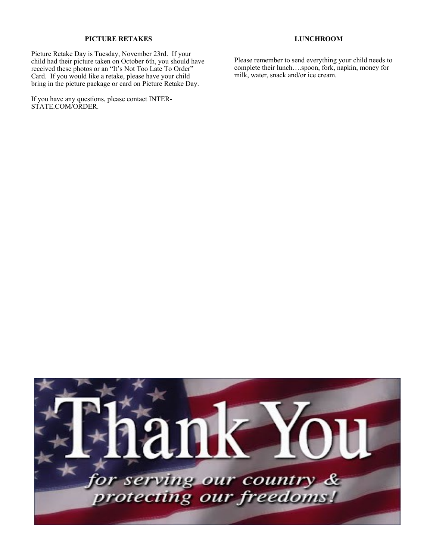#### **PICTURE RETAKES**

Picture Retake Day is Tuesday, November 23rd. If your child had their picture taken on October 6th, you should have received these photos or an "It's Not Too Late To Order" Card. If you would like a retake, please have your child bring in the picture package or card on Picture Retake Day.

If you have any questions, please contact INTER-STATE.COM/ORDER.

**LUNCHROOM**

Please remember to send everything your child needs to complete their lunch….spoon, fork, napkin, money for milk, water, snack and/or ice cream.